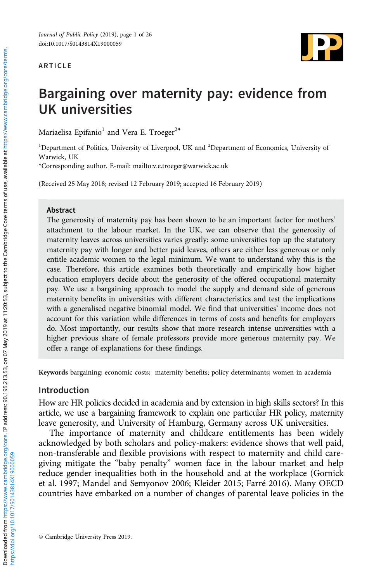#### ARTICLE



# Bargaining over maternity pay: evidence from UK universities

Mariaelisa Epifanio<sup>1</sup> and Vera E. Troeger<sup>2\*</sup>

<sup>1</sup>Department of Politics, University of Liverpool, UK and <sup>2</sup>Department of Economics, University of Warwick, UK

\*Corresponding author. E-mail: mailto:[v.e.troeger@warwick.ac.uk](mailto:v.e.troeger@warwick.ac.uk)

(Received 25 May 2018; revised 12 February 2019; accepted 16 February 2019)

#### Abstract

The generosity of maternity pay has been shown to be an important factor for mothers' attachment to the labour market. In the UK, we can observe that the generosity of maternity leaves across universities varies greatly: some universities top up the statutory maternity pay with longer and better paid leaves, others are either less generous or only entitle academic women to the legal minimum. We want to understand why this is the case. Therefore, this article examines both theoretically and empirically how higher education employers decide about the generosity of the offered occupational maternity pay. We use a bargaining approach to model the supply and demand side of generous maternity benefits in universities with different characteristics and test the implications with a generalised negative binomial model. We find that universities' income does not account for this variation while differences in terms of costs and benefits for employers do. Most importantly, our results show that more research intense universities with a higher previous share of female professors provide more generous maternity pay. We offer a range of explanations for these findings.

Keywords bargaining; economic costs; maternity benefits; policy determinants; women in academia

#### Introduction

How are HR policies decided in academia and by extension in high skills sectors? In this article, we use a bargaining framework to explain one particular HR policy, maternity leave generosity, and University of Hamburg, Germany across UK universities.

The importance of maternity and childcare entitlements has been widely acknowledged by both scholars and policy-makers: evidence shows that well paid, non-transferable and flexible provisions with respect to maternity and child caregiving mitigate the "baby penalty" women face in the labour market and help reduce gender inequalities both in the household and at the workplace (Gornick et al. [1997;](#page-24-0) Mandel and Semyonov [2006;](#page-24-0) Kleider [2015;](#page-24-0) Farré [2016\)](#page-24-0). Many OECD countries have embarked on a number of changes of parental leave policies in the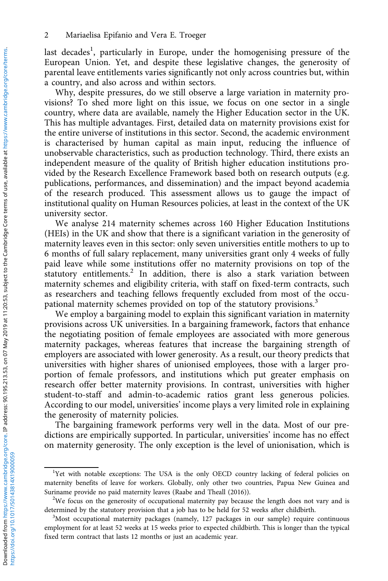last decades<sup>1</sup>, particularly in Europe, under the homogenising pressure of the European Union. Yet, and despite these legislative changes, the generosity of parental leave entitlements varies significantly not only across countries but, within a country, and also across and within sectors.

Why, despite pressures, do we still observe a large variation in maternity provisions? To shed more light on this issue, we focus on one sector in a single country, where data are available, namely the Higher Education sector in the UK. This has multiple advantages. First, detailed data on maternity provisions exist for the entire universe of institutions in this sector. Second, the academic environment is characterised by human capital as main input, reducing the influence of unobservable characteristics, such as production technology. Third, there exists an independent measure of the quality of British higher education institutions provided by the Research Excellence Framework based both on research outputs (e.g. publications, performances, and dissemination) and the impact beyond academia of the research produced. This assessment allows us to gauge the impact of institutional quality on Human Resources policies, at least in the context of the UK university sector.

We analyse 214 maternity schemes across 160 Higher Education Institutions (HEIs) in the UK and show that there is a significant variation in the generosity of maternity leaves even in this sector: only seven universities entitle mothers to up to 6 months of full salary replacement, many universities grant only 4 weeks of fully paid leave while some institutions offer no maternity provisions on top of the statutory entitlements.<sup>2</sup> In addition, there is also a stark variation between maternity schemes and eligibility criteria, with staff on fixed-term contracts, such as researchers and teaching fellows frequently excluded from most of the occupational maternity schemes provided on top of the statutory provisions.<sup>3</sup>

We employ a bargaining model to explain this significant variation in maternity provisions across UK universities. In a bargaining framework, factors that enhance the negotiating position of female employees are associated with more generous maternity packages, whereas features that increase the bargaining strength of employers are associated with lower generosity. As a result, our theory predicts that universities with higher shares of unionised employees, those with a larger proportion of female professors, and institutions which put greater emphasis on research offer better maternity provisions. In contrast, universities with higher student-to-staff and admin-to-academic ratios grant less generous policies. According to our model, universities' income plays a very limited role in explaining the generosity of maternity policies.

The bargaining framework performs very well in the data. Most of our predictions are empirically supported. In particular, universities' income has no effect on maternity generosity. The only exception is the level of unionisation, which is

<sup>&</sup>lt;sup>1</sup>Yet with notable exceptions: The USA is the only OECD country lacking of federal policies on maternity benefits of leave for workers. Globally, only other two countries, Papua New Guinea and Suriname provide no paid maternity leaves (Raabe and Theall (2016)).

<sup>&</sup>lt;sup>2</sup>We focus on the generosity of occupational maternity pay because the length does not vary and is determined by the statutory provision that a job has to be held for 52 weeks after childbirth.

<sup>&</sup>lt;sup>3</sup>Most occupational maternity packages (namely, 127 packages in our sample) require continuous employment for at least 52 weeks at 15 weeks prior to expected childbirth. This is longer than the typical fixed term contract that lasts 12 months or just an academic year.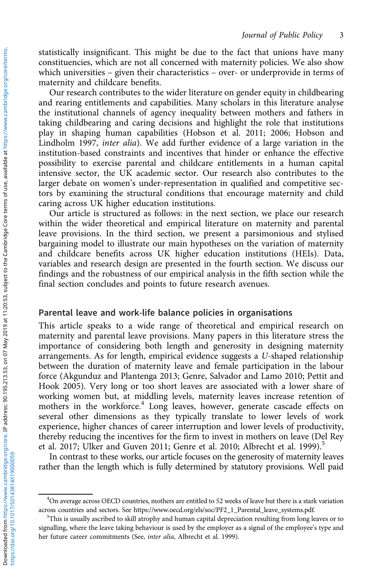statistically insignificant. This might be due to the fact that unions have many constituencies, which are not all concerned with maternity policies. We also show which universities – given their characteristics – over- or underprovide in terms of maternity and childcare benefits.

Our research contributes to the wider literature on gender equity in childbearing and rearing entitlements and capabilities. Many scholars in this literature analyse the institutional channels of agency inequality between mothers and fathers in taking childbearing and caring decisions and highlight the role that institutions play in shaping human capabilities (Hobson et al. [2011](#page-24-0); [2006](#page-24-0); Hobson and Lindholm [1997,](#page-24-0) inter alia). We add further evidence of a large variation in the institution-based constraints and incentives that hinder or enhance the effective possibility to exercise parental and childcare entitlements in a human capital intensive sector, the UK academic sector. Our research also contributes to the larger debate on women's under-representation in qualified and competitive sectors by examining the structural conditions that encourage maternity and child caring across UK higher education institutions.

Our article is structured as follows: in the next section, we place our research within the wider theoretical and empirical literature on maternity and parental leave provisions. In the third section, we present a parsimonious and stylised bargaining model to illustrate our main hypotheses on the variation of maternity and childcare benefits across UK higher education institutions (HEIs). Data, variables and research design are presented in the fourth section. We discuss our findings and the robustness of our empirical analysis in the fifth section while the final section concludes and points to future research avenues.

#### Parental leave and work-life balance policies in organisations

This article speaks to a wide range of theoretical and empirical research on maternity and parental leave provisions. Many papers in this literature stress the importance of considering both length and generosity in designing maternity arrangements. As for length, empirical evidence suggests a U-shaped relationship between the duration of maternity leave and female participation in the labour force (Akgunduz and Plantenga [2013](#page-23-0); Genre, Salvador and Lamo 2010; Pettit and Hook [2005\)](#page-25-0). Very long or too short leaves are associated with a lower share of working women but, at middling levels, maternity leaves increase retention of mothers in the workforce.<sup>4</sup> Long leaves, however, generate cascade effects on several other dimensions as they typically translate to lower levels of work experience, higher chances of career interruption and lower levels of productivity, thereby reducing the incentives for the firm to invest in mothers on leave (Del Rey et al. [2017;](#page-24-0) Ulker and Guven [2011;](#page-25-0) Genre et al. [2010;](#page-24-0) Albrecht et al. [1999](#page-23-0)).<sup>5</sup>

In contrast to these works, our article focuses on the generosity of maternity leaves rather than the length which is fully determined by statutory provisions. Well paid

<sup>&</sup>lt;sup>4</sup>On average across OECD countries, mothers are entitled to 52 weeks of leave but there is a stark variation across countries and sectors. See [https://www.oecd.org/els/soc/PF2\\_1\\_Parental\\_leave\\_systems.pdf](https://www.oecd.org/els/soc/PF2_1_Parental_leave_systems.pdf).

<sup>&</sup>lt;sup>5</sup>This is usually ascribed to skill atrophy and human capital depreciation resulting from long leaves or to signalling, where the leave taking behaviour is used by the employer as a signal of the employee's type and her future career commitments (See, inter alia, Albrecht et al. 1999).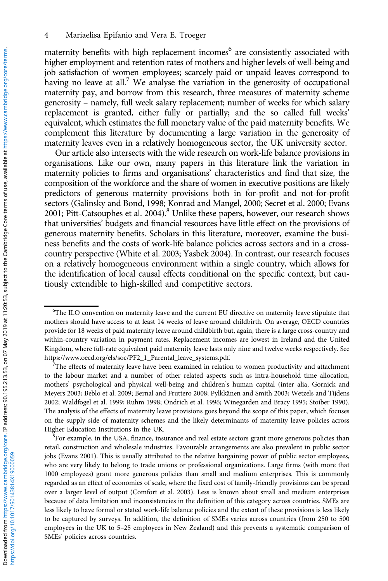maternity benefits with high replacement incomes<sup>6</sup> are consistently associated with higher employment and retention rates of mothers and higher levels of well-being and job satisfaction of women employees; scarcely paid or unpaid leaves correspond to having no leave at all.<sup>7</sup> We analyse the variation in the generosity of occupational maternity pay, and borrow from this research, three measures of maternity scheme generosity – namely, full week salary replacement; number of weeks for which salary replacement is granted, either fully or partially; and the so called full weeks' equivalent, which estimates the full monetary value of the paid maternity benefits. We complement this literature by documenting a large variation in the generosity of maternity leaves even in a relatively homogeneous sector, the UK university sector.

Our article also intersects with the wide research on work-life balance provisions in organisations. Like our own, many papers in this literature link the variation in maternity policies to firms and organisations' characteristics and find that size, the composition of the workforce and the share of women in executive positions are likely predictors of generous maternity provisions both in for-profit and not-for-profit sectors (Galinsky and Bond, [1998;](#page-24-0) Konrad and Mangel, [2000](#page-24-0); Secret et al. [2000;](#page-25-0) Evans [2001](#page-24-0); Pitt-Catsouphes et al. [2004](#page-25-0)).<sup>8</sup> Unlike these papers, however, our research shows that universities' budgets and financial resources have little effect on the provisions of generous maternity benefits. Scholars in this literature, moreover, examine the business benefits and the costs of work-life balance policies across sectors and in a crosscountry perspective (White et al. [2003;](#page-25-0) Yasbek [2004\)](#page-25-0). In contrast, our research focuses on a relatively homogeneous environment within a single country, which allows for the identification of local causal effects conditional on the specific context, but cautiously extendible to high-skilled and competitive sectors.

 ${}^{8}$ For example, in the USA, finance, insurance and real estate sectors grant more generous policies than retail, construction and wholesale industries. Favourable arrangements are also prevalent in public sector jobs (Evans [2001](#page-24-0)). This is usually attributed to the relative bargaining power of public sector employees, who are very likely to belong to trade unions or professional organizations. Large firms (with more that 1000 employees) grant more generous policies than small and medium enterprises. This is commonly regarded as an effect of economies of scale, where the fixed cost of family-friendly provisions can be spread over a larger level of output (Comfort et al. [2003\)](#page-24-0). Less is known about small and medium enterprises because of data limitation and inconsistencies in the definition of this category across countries. SMEs are less likely to have formal or stated work-life balance policies and the extent of these provisions is less likely to be captured by surveys. In addition, the definition of SMEs varies across countries (from 250 to 500 employees in the UK to 5–25 employees in New Zealand) and this prevents a systematic comparison of SMEs' policies across countries.

<sup>6</sup> The ILO convention on maternity leave and the current EU directive on maternity leave stipulate that mothers should have access to at least 14 weeks of leave around childbirth. On average, OECD countries provide for 18 weeks of paid maternity leave around childbirth but, again, there is a large cross-country and within-country variation in payment rates. Replacement incomes are lowest in Ireland and the United Kingdom, where full-rate equivalent paid maternity leave lasts only nine and twelve weeks respectively. See [https://www.oecd.org/els/soc/PF2\\_1\\_Parental\\_leave\\_systems.pdf](https://www.oecd.org/els/soc/PF2_1_Parental_leave_systems.pdf). <sup>7</sup>

The effects of maternity leave have been examined in relation to women productivity and attachment to the labour market and a number of other related aspects such as intra-household time allocation, mothers' psychological and physical well-being and children's human capital (inter alia, Gornick and Meyers 2003; Beblo et al. [2009](#page-23-0); Bernal and Fruttero [2008](#page-23-0); Pylkkänen and Smith [2003;](#page-25-0) Wetzels and Tijdens [2002;](#page-25-0) Waldfogel et al. 1999; Ruhm [1998;](#page-25-0) Ondrich et al. [1996](#page-25-0); Winegarden and Bracy [1995;](#page-25-0) Stoiber [1990\)](#page-25-0). The analysis of the effects of maternity leave provisions goes beyond the scope of this paper, which focuses on the supply side of maternity schemes and the likely determinants of maternity leave policies across Higher Education Institutions in the UK. <sup>8</sup>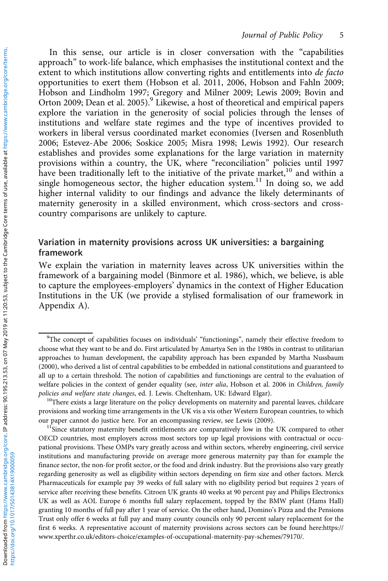In this sense, our article is in closer conversation with the "capabilities approach" to work-life balance, which emphasises the institutional context and the extent to which institutions allow converting rights and entitlements into de facto opportunities to exert them (Hobson et al. [2011, 2006](#page-24-0), Hobson and Fahln [2009](#page-24-0); Hobson and Lindholm [1997](#page-24-0); Gregory and Milner [2009](#page-24-0); Lewis [2009;](#page-24-0) Bovin and Orton [2009](#page-24-0); Dean et al. [2005\)](#page-24-0).<sup>9</sup> Likewise, a host of theoretical and empirical papers explore the variation in the generosity of social policies through the lenses of institutions and welfare state regimes and the type of incentives provided to workers in liberal versus coordinated market economies (Iversen and Rosenbluth [2006](#page-24-0); Estevez-Abe [2006](#page-24-0); Soskice [2005;](#page-25-0) Misra [1998;](#page-25-0) Lewis 1992). Our research establishes and provides some explanations for the large variation in maternity provisions within a country, the UK, where "reconciliation" policies until 1997 have been traditionally left to the initiative of the private market,<sup>10</sup> and within a single homogeneous sector, the higher education system.<sup>11</sup> In doing so, we add higher internal validity to our findings and advance the likely determinants of maternity generosity in a skilled environment, which cross-sectors and crosscountry comparisons are unlikely to capture.

# Variation in maternity provisions across UK universities: a bargaining framework

We explain the variation in maternity leaves across UK universities within the framework of a bargaining model (Binmore et al. [1986](#page-23-0)), which, we believe, is able to capture the employees-employers' dynamics in the context of Higher Education Institutions in the UK (we provide a stylised formalisation of our framework in Appendix A).

<sup>&</sup>lt;sup>9</sup>The concept of capabilities focuses on individuals' "functionings", namely their effective freedom to choose what they want to be and do. First articulated by Amartya Sen in the 1980s in contrast to utilitarian approaches to human development, the capability approach has been expanded by Martha Nussbaum (2000), who derived a list of central capabilities to be embedded in national constitutions and guaranteed to all up to a certain threshold. The notion of capabilities and functionings are central to the evaluation of welfare policies in the context of gender equality (see, inter alia, Hobson et al. 2006 in Children, family policies and welfare state changes, ed. J. Lewis. Cheltenham, UK: Edward Elgar). <sup>10</sup>There exists a large literature on the policy developments on maternity and parental leaves, childcare

provisions and working time arrangements in the UK vis a vis other Western European countries, to which our paper cannot do justice here. For an encompassing review, see Lewis [\(2009](#page-24-0)).<br><sup>11</sup>Since statutory maternity benefit entitlements are comparatively low in the UK compared to other

OECD countries, most employers across most sectors top up legal provisions with contractual or occupational provisions. These OMPs vary greatly across and within sectors, whereby engineering, civil service institutions and manufacturing provide on average more generous maternity pay than for example the finance sector, the non-for profit sector, or the food and drink industry. But the provisions also vary greatly regarding generosity as well as eligibility within sectors depending on firm size and other factors. Merck Pharmaceuticals for example pay 39 weeks of full salary with no eligibility period but requires 2 years of service after receiving these benefits. Citroen UK grants 40 weeks at 90 percent pay and Philips Electronics UK as well as AOL Europe 6 months full salary replacement, topped by the BMW plant (Hams Hall) granting 10 months of full pay after 1 year of service. On the other hand, Domino's Pizza and the Pensions Trust only offer 6 weeks at full pay and many county councils only 90 percent salary replacement for the first 6 weeks. A representative account of maternity provisions across sectors can be found here:[https://](https://www.xperthr.co.uk/editors-choice/examples-of-occupational-maternity-pay-schemes/79170/) [www.xperthr.co.uk/editors-choice/examples-of-occupational-maternity-pay-schemes/79170/.](https://www.xperthr.co.uk/editors-choice/examples-of-occupational-maternity-pay-schemes/79170/)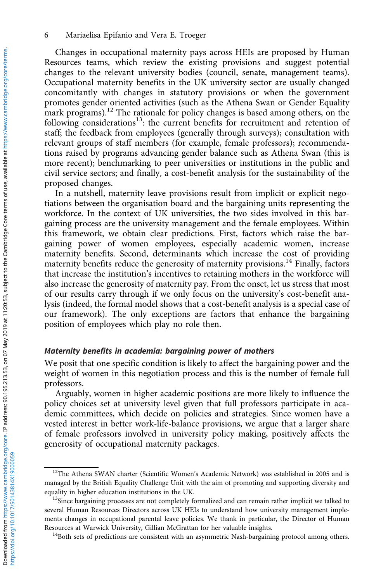Changes in occupational maternity pays across HEIs are proposed by Human Resources teams, which review the existing provisions and suggest potential changes to the relevant university bodies (council, senate, management teams). Occupational maternity benefits in the UK university sector are usually changed concomitantly with changes in statutory provisions or when the government promotes gender oriented activities (such as the Athena Swan or Gender Equality mark programs).<sup>12</sup> The rationale for policy changes is based among others, on the following considerations<sup>13</sup>: the current benefits for recruitment and retention of staff; the feedback from employees (generally through surveys); consultation with relevant groups of staff members (for example, female professors); recommendations raised by programs advancing gender balance such as Athena Swan (this is more recent); benchmarking to peer universities or institutions in the public and civil service sectors; and finally, a cost-benefit analysis for the sustainability of the proposed changes.

In a nutshell, maternity leave provisions result from implicit or explicit negotiations between the organisation board and the bargaining units representing the workforce. In the context of UK universities, the two sides involved in this bargaining process are the university management and the female employees. Within this framework, we obtain clear predictions. First, factors which raise the bargaining power of women employees, especially academic women, increase maternity benefits. Second, determinants which increase the cost of providing maternity benefits reduce the generosity of maternity provisions.<sup>14</sup> Finally, factors that increase the institution's incentives to retaining mothers in the workforce will also increase the generosity of maternity pay. From the onset, let us stress that most of our results carry through if we only focus on the university's cost-benefit analysis (indeed, the formal model shows that a cost-benefit analysis is a special case of our framework). The only exceptions are factors that enhance the bargaining position of employees which play no role then.

#### Maternity benefits in academia: bargaining power of mothers

We posit that one specific condition is likely to affect the bargaining power and the weight of women in this negotiation process and this is the number of female full professors.

Arguably, women in higher academic positions are more likely to influence the policy choices set at university level given that full professors participate in academic committees, which decide on policies and strategies. Since women have a vested interest in better work-life-balance provisions, we argue that a larger share of female professors involved in university policy making, positively affects the generosity of occupational maternity packages.

<sup>&</sup>lt;sup>12</sup>The Athena SWAN charter (Scientific Women's Academic Network) was established in 2005 and is managed by the British Equality Challenge Unit with the aim of promoting and supporting diversity and equality in higher education institutions in the UK.<br><sup>13</sup>Since bargaining processes are not completely formalized and can remain rather implicit we talked to

several Human Resources Directors across UK HEIs to understand how university management implements changes in occupational parental leave policies. We thank in particular, the Director of Human Resources at Warwick University, Gillian McGrattan for her valuable insights.<br><sup>14</sup>Both sets of predictions are consistent with an asymmetric Nash-bargaining protocol among others.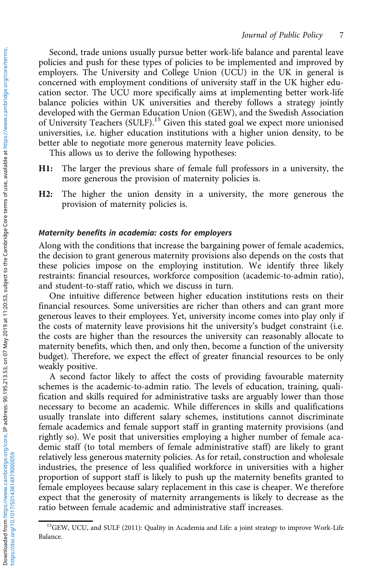Second, trade unions usually pursue better work-life balance and parental leave policies and push for these types of policies to be implemented and improved by employers. The University and College Union (UCU) in the UK in general is concerned with employment conditions of university staff in the UK higher education sector. The UCU more specifically aims at implementing better work-life balance policies within UK universities and thereby follows a strategy jointly developed with the German Education Union (GEW), and the Swedish Association of University Teachers (SULF).<sup>15</sup> Given this stated goal we expect more unionised universities, i.e. higher education institutions with a higher union density, to be better able to negotiate more generous maternity leave policies.

This allows us to derive the following hypotheses:

- H1: The larger the previous share of female full professors in a university, the more generous the provision of maternity policies is.
- H2: The higher the union density in a university, the more generous the provision of maternity policies is.

#### Maternity benefits in academia: costs for employers

Along with the conditions that increase the bargaining power of female academics, the decision to grant generous maternity provisions also depends on the costs that these policies impose on the employing institution. We identify three likely restraints: financial resources, workforce composition (academic-to-admin ratio), and student-to-staff ratio, which we discuss in turn.

One intuitive difference between higher education institutions rests on their financial resources. Some universities are richer than others and can grant more generous leaves to their employees. Yet, university income comes into play only if the costs of maternity leave provisions hit the university's budget constraint (i.e. the costs are higher than the resources the university can reasonably allocate to maternity benefits, which then, and only then, become a function of the university budget). Therefore, we expect the effect of greater financial resources to be only weakly positive.

A second factor likely to affect the costs of providing favourable maternity schemes is the academic-to-admin ratio. The levels of education, training, qualification and skills required for administrative tasks are arguably lower than those necessary to become an academic. While differences in skills and qualifications usually translate into different salary schemes, institutions cannot discriminate female academics and female support staff in granting maternity provisions (and rightly so). We posit that universities employing a higher number of female academic staff (to total members of female administrative staff) are likely to grant relatively less generous maternity policies. As for retail, construction and wholesale industries, the presence of less qualified workforce in universities with a higher proportion of support staff is likely to push up the maternity benefits granted to female employees because salary replacement in this case is cheaper. We therefore expect that the generosity of maternity arrangements is likely to decrease as the ratio between female academic and administrative staff increases.

<sup>&</sup>lt;sup>15</sup>GEW, UCU, and SULF [\(2011](#page-24-0)): Quality in Academia and Life: a joint strategy to improve Work-Life Balance.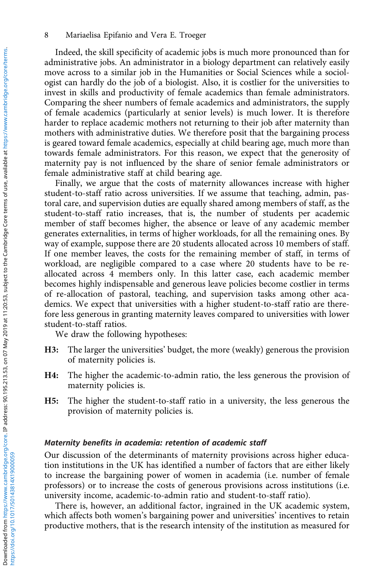Indeed, the skill specificity of academic jobs is much more pronounced than for administrative jobs. An administrator in a biology department can relatively easily move across to a similar job in the Humanities or Social Sciences while a sociologist can hardly do the job of a biologist. Also, it is costlier for the universities to invest in skills and productivity of female academics than female administrators. Comparing the sheer numbers of female academics and administrators, the supply of female academics (particularly at senior levels) is much lower. It is therefore harder to replace academic mothers not returning to their job after maternity than mothers with administrative duties. We therefore posit that the bargaining process is geared toward female academics, especially at child bearing age, much more than towards female administrators. For this reason, we expect that the generosity of maternity pay is not influenced by the share of senior female administrators or female administrative staff at child bearing age.

Finally, we argue that the costs of maternity allowances increase with higher student-to-staff ratio across universities. If we assume that teaching, admin, pastoral care, and supervision duties are equally shared among members of staff, as the student-to-staff ratio increases, that is, the number of students per academic member of staff becomes higher, the absence or leave of any academic member generates externalities, in terms of higher workloads, for all the remaining ones. By way of example, suppose there are 20 students allocated across 10 members of staff. If one member leaves, the costs for the remaining member of staff, in terms of workload, are negligible compared to a case where 20 students have to be reallocated across 4 members only. In this latter case, each academic member becomes highly indispensable and generous leave policies become costlier in terms of re-allocation of pastoral, teaching, and supervision tasks among other academics. We expect that universities with a higher student-to-staff ratio are therefore less generous in granting maternity leaves compared to universities with lower student-to-staff ratios.

We draw the following hypotheses:

- H3: The larger the universities' budget, the more (weakly) generous the provision of maternity policies is.
- H4: The higher the academic-to-admin ratio, the less generous the provision of maternity policies is.
- H5: The higher the student-to-staff ratio in a university, the less generous the provision of maternity policies is.

#### Maternity benefits in academia: retention of academic staff

Our discussion of the determinants of maternity provisions across higher education institutions in the UK has identified a number of factors that are either likely to increase the bargaining power of women in academia (i.e. number of female professors) or to increase the costs of generous provisions across institutions (i.e. university income, academic-to-admin ratio and student-to-staff ratio).

There is, however, an additional factor, ingrained in the UK academic system, which affects both women's bargaining power and universities' incentives to retain productive mothers, that is the research intensity of the institution as measured for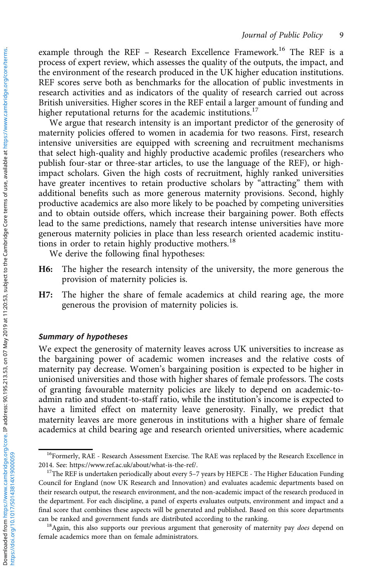example through the REF - Research Excellence Framework.<sup>16</sup> The REF is a process of expert review, which assesses the quality of the outputs, the impact, and the environment of the research produced in the UK higher education institutions. REF scores serve both as benchmarks for the allocation of public investments in research activities and as indicators of the quality of research carried out across British universities. Higher scores in the REF entail a larger amount of funding and higher reputational returns for the academic institutions.<sup>17</sup>

We argue that research intensity is an important predictor of the generosity of maternity policies offered to women in academia for two reasons. First, research intensive universities are equipped with screening and recruitment mechanisms that select high-quality and highly productive academic profiles (researchers who publish four-star or three-star articles, to use the language of the REF), or highimpact scholars. Given the high costs of recruitment, highly ranked universities have greater incentives to retain productive scholars by "attracting" them with additional benefits such as more generous maternity provisions. Second, highly productive academics are also more likely to be poached by competing universities and to obtain outside offers, which increase their bargaining power. Both effects lead to the same predictions, namely that research intense universities have more generous maternity policies in place than less research oriented academic institutions in order to retain highly productive mothers.<sup>18</sup>

We derive the following final hypotheses:

- H6: The higher the research intensity of the university, the more generous the provision of maternity policies is.
- H7: The higher the share of female academics at child rearing age, the more generous the provision of maternity policies is.

#### Summary of hypotheses

We expect the generosity of maternity leaves across UK universities to increase as the bargaining power of academic women increases and the relative costs of maternity pay decrease. Women's bargaining position is expected to be higher in unionised universities and those with higher shares of female professors. The costs of granting favourable maternity policies are likely to depend on academic-toadmin ratio and student-to-staff ratio, while the institution's income is expected to have a limited effect on maternity leave generosity. Finally, we predict that maternity leaves are more generous in institutions with a higher share of female academics at child bearing age and research oriented universities, where academic

<sup>&</sup>lt;sup>16</sup>Formerly, RAE - Research Assessment Exercise. The RAE was replaced by the Research Excellence in 2014. See: [https://www.ref.ac.uk/about/what-is-the-ref/.](https://www.ref.ac.uk/about/what-is-the-ref/) 17The REF is undertaken periodically about every 5–7 years by HEFCE - The Higher Education Funding

Council for England (now UK Research and Innovation) and evaluates academic departments based on their research output, the research environment, and the non-academic impact of the research produced in the department. For each discipline, a panel of experts evaluates outputs, environment and impact and a final score that combines these aspects will be generated and published. Based on this score departments can be ranked and government funds are distributed according to the ranking.<br><sup>18</sup>Again, this also supports our previous argument that generosity of maternity pay *does* depend on

female academics more than on female administrators.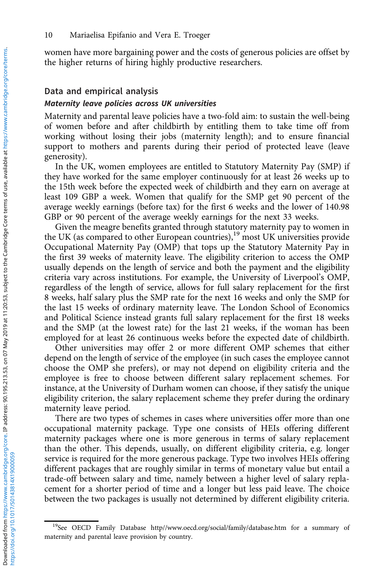women have more bargaining power and the costs of generous policies are offset by the higher returns of hiring highly productive researchers.

#### Data and empirical analysis

#### Maternity leave policies across UK universities

Maternity and parental leave policies have a two-fold aim: to sustain the well-being of women before and after childbirth by entitling them to take time off from working without losing their jobs (maternity length); and to ensure financial support to mothers and parents during their period of protected leave (leave generosity).

In the UK, women employees are entitled to Statutory Maternity Pay (SMP) if they have worked for the same employer continuously for at least 26 weeks up to the 15th week before the expected week of childbirth and they earn on average at least 109 GBP a week. Women that qualify for the SMP get 90 percent of the average weekly earnings (before tax) for the first 6 weeks and the lower of 140.98 GBP or 90 percent of the average weekly earnings for the next 33 weeks.

Given the meagre benefits granted through statutory maternity pay to women in the UK (as compared to other European countries),<sup>19</sup> most UK universities provide Occupational Maternity Pay (OMP) that tops up the Statutory Maternity Pay in the first 39 weeks of maternity leave. The eligibility criterion to access the OMP usually depends on the length of service and both the payment and the eligibility criteria vary across institutions. For example, the University of Liverpool's OMP, regardless of the length of service, allows for full salary replacement for the first 8 weeks, half salary plus the SMP rate for the next 16 weeks and only the SMP for the last 15 weeks of ordinary maternity leave. The London School of Economics and Political Science instead grants full salary replacement for the first 18 weeks and the SMP (at the lowest rate) for the last 21 weeks, if the woman has been employed for at least 26 continuous weeks before the expected date of childbirth.

Other universities may offer 2 or more different OMP schemes that either depend on the length of service of the employee (in such cases the employee cannot choose the OMP she prefers), or may not depend on eligibility criteria and the employee is free to choose between different salary replacement schemes. For instance, at the University of Durham women can choose, if they satisfy the unique eligibility criterion, the salary replacement scheme they prefer during the ordinary maternity leave period.

There are two types of schemes in cases where universities offer more than one occupational maternity package. Type one consists of HEIs offering different maternity packages where one is more generous in terms of salary replacement than the other. This depends, usually, on different eligibility criteria, e.g. longer service is required for the more generous package. Type two involves HEIs offering different packages that are roughly similar in terms of monetary value but entail a trade-off between salary and time, namely between a higher level of salary replacement for a shorter period of time and a longer but less paid leave. The choice between the two packages is usually not determined by different eligibility criteria.

<sup>&</sup>lt;sup>19</sup>See [OECD Family Database](#page-25-0)<http//www.oecd.org/social/family/database.htm> for a summary of maternity and parental leave provision by country.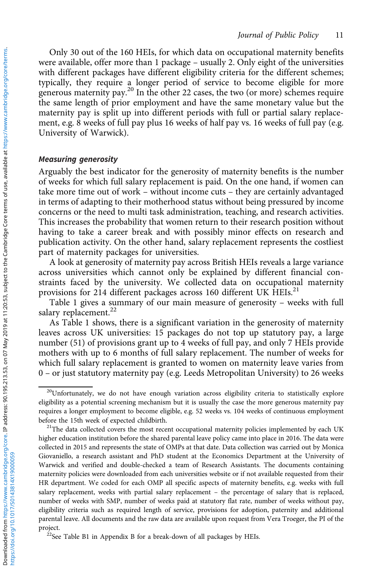Only 30 out of the 160 HEIs, for which data on occupational maternity benefits were available, offer more than 1 package – usually 2. Only eight of the universities with different packages have different eligibility criteria for the different schemes; typically, they require a longer period of service to become eligible for more generous maternity pay.<sup>20</sup> In the other 22 cases, the two (or more) schemes require the same length of prior employment and have the same monetary value but the maternity pay is split up into different periods with full or partial salary replacement, e.g. 8 weeks of full pay plus 16 weeks of half pay vs. 16 weeks of full pay (e.g. University of Warwick).

#### Measuring generosity

Arguably the best indicator for the generosity of maternity benefits is the number of weeks for which full salary replacement is paid. On the one hand, if women can take more time out of work – without income cuts – they are certainly advantaged in terms of adapting to their motherhood status without being pressured by income concerns or the need to multi task administration, teaching, and research activities. This increases the probability that women return to their research position without having to take a career break and with possibly minor effects on research and publication activity. On the other hand, salary replacement represents the costliest part of maternity packages for universities.

A look at generosity of maternity pay across British HEIs reveals a large variance across universities which cannot only be explained by different financial constraints faced by the university. We collected data on occupational maternity provisions for 214 different packages across 160 different UK HEIs.<sup>21</sup>

[Table 1](#page-11-0) gives a summary of our main measure of generosity – weeks with full salary replacement.<sup>22</sup>

As [Table 1](#page-11-0) shows, there is a significant variation in the generosity of maternity leaves across UK universities: 15 packages do not top up statutory pay, a large number (51) of provisions grant up to 4 weeks of full pay, and only 7 HEIs provide mothers with up to 6 months of full salary replacement. The number of weeks for which full salary replacement is granted to women on maternity leave varies from 0 – or just statutory maternity pay (e.g. Leeds Metropolitan University) to 26 weeks

<sup>&</sup>lt;sup>20</sup>Unfortunately, we do not have enough variation across eligibility criteria to statistically explore eligibility as a potential screening mechanism but it is usually the case the more generous maternity pay requires a longer employment to become eligible, e.g. 52 weeks vs. 104 weeks of continuous employment

before the 15th week of expected childbirth.<br><sup>21</sup>The data collected covers the most recent occupational maternity policies implemented by each UK higher education institution before the shared parental leave policy came into place in 2016. The data were collected in 2015 and represents the state of OMPs at that date. Data collection was carried out by Monica Giovaniello, a research assistant and PhD student at the Economics Department at the University of Warwick and verified and double-checked a team of Research Assistants. The documents containing maternity policies were downloaded from each universities website or if not available requested from their HR department. We coded for each OMP all specific aspects of maternity benefits, e.g. weeks with full salary replacement, weeks with partial salary replacement – the percentage of salary that is replaced, number of weeks with SMP, number of weeks paid at statutory flat rate, number of weeks without pay, eligibility criteria such as required length of service, provisions for adoption, paternity and additional parental leave. All documents and the raw data are available upon request from Vera Troeger, the PI of the project.<br><sup>22</sup>See Table B1 in Appendix B for a break-down of all packages by HEIs.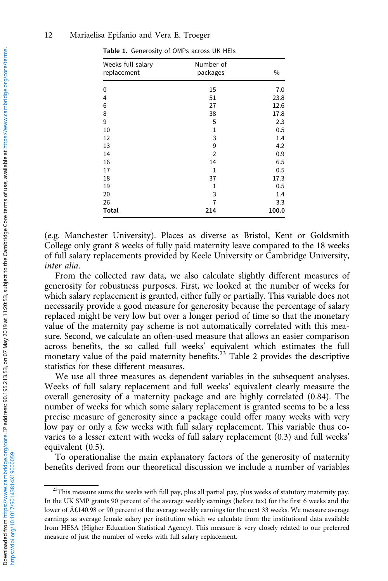| Weeks full salary<br>replacement | Number of<br>packages | $\frac{0}{0}$ |
|----------------------------------|-----------------------|---------------|
| 0                                | 15                    | 7.0           |
| 4                                | 51                    | 23.8          |
| 6                                | 27                    | 12.6          |
| 8                                | 38                    | 17.8          |
| 9                                | 5                     | 2.3           |
| 10                               | 1                     | 0.5           |
| 12                               | 3                     | 1.4           |
| 13                               | 9                     | 4.2           |
| 14                               | $\overline{2}$        | 0.9           |
| 16                               | 14                    | 6.5           |
| 17                               | $\mathbf{1}$          | 0.5           |
| 18                               | 37                    | 17.3          |
| 19                               | 1                     | 0.5           |
| 20                               | 3                     | 1.4           |
| 26                               | 7                     | 3.3           |
| Total                            | 214                   | 100.0         |

<span id="page-11-0"></span>Table 1. Generosity of OMPs across UK HEIs

(e.g. Manchester University). Places as diverse as Bristol, Kent or Goldsmith College only grant 8 weeks of fully paid maternity leave compared to the 18 weeks of full salary replacements provided by Keele University or Cambridge University, inter alia.

From the collected raw data, we also calculate slightly different measures of generosity for robustness purposes. First, we looked at the number of weeks for which salary replacement is granted, either fully or partially. This variable does not necessarily provide a good measure for generosity because the percentage of salary replaced might be very low but over a longer period of time so that the monetary value of the maternity pay scheme is not automatically correlated with this measure. Second, we calculate an often-used measure that allows an easier comparison across benefits, the so called full weeks' equivalent which estimates the full monetary value of the paid maternity benefits.<sup>23</sup> [Table 2](#page-12-0) provides the descriptive statistics for these different measures.

We use all three measures as dependent variables in the subsequent analyses. Weeks of full salary replacement and full weeks' equivalent clearly measure the overall generosity of a maternity package and are highly correlated (0.84). The number of weeks for which some salary replacement is granted seems to be a less precise measure of generosity since a package could offer many weeks with very low pay or only a few weeks with full salary replacement. This variable thus covaries to a lesser extent with weeks of full salary replacement (0.3) and full weeks' equivalent (0.5).

To operationalise the main explanatory factors of the generosity of maternity benefits derived from our theoretical discussion we include a number of variables

<sup>&</sup>lt;sup>23</sup>This measure sums the weeks with full pay, plus all partial pay, plus weeks of statutory maternity pay. In the UK SMP grants 90 percent of the average weekly earnings (before tax) for the first 6 weeks and the lower of £140.98 or 90 percent of the average weekly earnings for the next 33 weeks. We measure average earnings as average female salary per institution which we calculate from the institutional data available from HESA (Higher Education Statistical Agency). This measure is very closely related to our preferred measure of just the number of weeks with full salary replacement.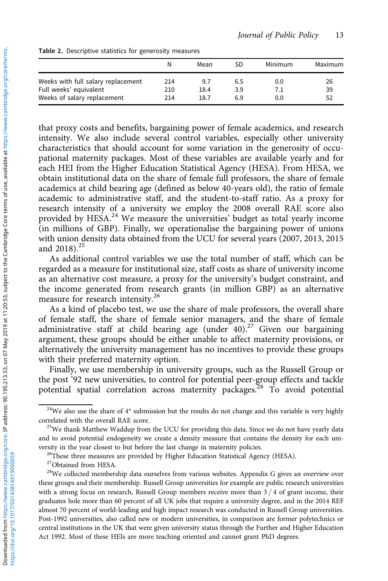|                                                       | Ν          | Mean         | SD         | Minimum | Maximum  |
|-------------------------------------------------------|------------|--------------|------------|---------|----------|
| Weeks with full salary replacement                    | 214        | 9.7          | 6.5        | 0.0     | 26       |
| Full weeks' equivalent<br>Weeks of salary replacement | 210<br>214 | 18.4<br>18.7 | 3.9<br>6.9 | 0.0     | 39<br>52 |

<span id="page-12-0"></span>Table 2. Descriptive statistics for generosity measures

that proxy costs and benefits, bargaining power of female academics, and research intensity. We also include several control variables, especially other university characteristics that should account for some variation in the generosity of occupational maternity packages. Most of these variables are available yearly and for each HEI from the Higher Education Statistical Agency (HESA). From HESA, we obtain institutional data on the share of female full professors, the share of female academics at child bearing age (defined as below 40-years old), the ratio of female academic to administrative staff, and the student-to-staff ratio. As a proxy for research intensity of a university we employ the 2008 overall RAE score also provided by HESA.<sup>24</sup> We measure the universities' budget as total yearly income (in millions of GBP). Finally, we operationalise the bargaining power of unions with union density data obtained from the UCU for several years (2007, 2013, 2015 and 2018).<sup>25</sup>

As additional control variables we use the total number of staff, which can be regarded as a measure for institutional size, staff costs as share of university income as an alternative cost measure, a proxy for the university's budget constraint, and the income generated from research grants (in million GBP) as an alternative measure for research intensity.<sup>26</sup>

As a kind of placebo test, we use the share of male professors, the overall share of female staff, the share of female senior managers, and the share of female administrative staff at child bearing age (under  $40$ ).<sup>27</sup> Given our bargaining argument, these groups should be either unable to affect maternity provisions, or alternatively the university management has no incentives to provide these groups with their preferred maternity option.

Finally, we use membership in university groups, such as the Russell Group or the post '92 new universities, to control for potential peer-group effects and tackle potential spatial correlation across maternity packages.<sup>28</sup> To avoid potential

 $24$ We also use the share of  $4*$  submission but the results do not change and this variable is very highly correlated with the overall RAE score.<br><sup>25</sup>We thank Matthew Waddup from the UCU for providing this data. Since we do not have yearly data

and to avoid potential endogeneity we create a density measure that contains the density for each university in the year closest to but before the last change in maternity policies. 26These three measures are provided by Higher Education Statistical Agency (HESA).

<sup>&</sup>lt;sup>27</sup>Obtained from HESA.

<sup>&</sup>lt;sup>28</sup>We collected membership data ourselves from various websites. Appendix G gives an overview over these groups and their membership. Russell Group universities for example are public research universities with a strong focus on research, Russell Group members receive more than  $3/4$  of grant income, their graduates hole more than 60 percent of all UK jobs that require a university degree, and in the 2014 REF almost 70 percent of world-leading and high impact research was conducted in Russell Group universities. Post-1992 universities, also called new or modern universities, in comparison are former polytechnics or central institutions in the UK that were given university status through the Further and Higher Education Act 1992. Most of these HEIs are more teaching oriented and cannot grant PhD degrees.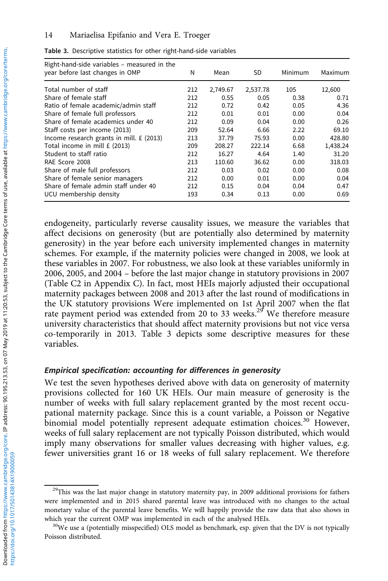| Right-hand-side variables - measured in the<br>vear before last changes in OMP | N   | Mean     | SD       | Minimum | Maximum  |
|--------------------------------------------------------------------------------|-----|----------|----------|---------|----------|
| Total number of staff                                                          | 212 | 2,749.67 | 2,537.78 | 105     | 12.600   |
| Share of female staff                                                          | 212 | 0.55     | 0.05     | 0.38    | 0.71     |
| Ratio of female academic/admin staff                                           | 212 | 0.72     | 0.42     | 0.05    | 4.36     |
| Share of female full professors                                                | 212 | 0.01     | 0.01     | 0.00    | 0.04     |
| Share of female academics under 40                                             | 212 | 0.09     | 0.04     | 0.00    | 0.26     |
| Staff costs per income (2013)                                                  | 209 | 52.64    | 6.66     | 2.22    | 69.10    |
| Income research grants in mill. £ (2013)                                       | 213 | 37.79    | 75.93    | 0.00    | 428.80   |
| Total income in mill £ (2013)                                                  | 209 | 208.27   | 222.14   | 6.68    | 1.438.24 |
| Student to staff ratio                                                         | 212 | 16.27    | 4.64     | 1.40    | 31.20    |
| RAE Score 2008                                                                 | 213 | 110.60   | 36.62    | 0.00    | 318.03   |
| Share of male full professors                                                  | 212 | 0.03     | 0.02     | 0.00    | 0.08     |
| Share of female senior managers                                                | 212 | 0.00     | 0.01     | 0.00    | 0.04     |
| Share of female admin staff under 40                                           | 212 | 0.15     | 0.04     | 0.04    | 0.47     |
| UCU membership density                                                         | 193 | 0.34     | 0.13     | 0.00    | 0.69     |

Table 3. Descriptive statistics for other right-hand-side variables

endogeneity, particularly reverse causality issues, we measure the variables that affect decisions on generosity (but are potentially also determined by maternity generosity) in the year before each university implemented changes in maternity schemes. For example, if the maternity policies were changed in 2008, we look at these variables in 2007. For robustness, we also look at these variables uniformly in 2006, 2005, and 2004 – before the last major change in statutory provisions in 2007 (Table C2 in Appendix C). In fact, most HEIs majorly adjusted their occupational maternity packages between 2008 and 2013 after the last round of modifications in the UK statutory provisions Were implemented on 1st April 2007 when the flat rate payment period was extended from 20 to 33 weeks.<sup>29</sup> We therefore measure university characteristics that should affect maternity provisions but not vice versa co-temporarily in 2013. Table 3 depicts some descriptive measures for these variables.

#### Empirical specification: accounting for differences in generosity

We test the seven hypotheses derived above with data on generosity of maternity provisions collected for 160 UK HEIs. Our main measure of generosity is the number of weeks with full salary replacement granted by the most recent occupational maternity package. Since this is a count variable, a Poisson or Negative binomial model potentially represent adequate estimation choices.<sup>30</sup> However, weeks of full salary replacement are not typically Poisson distributed, which would imply many observations for smaller values decreasing with higher values, e.g. fewer universities grant 16 or 18 weeks of full salary replacement. We therefore

<sup>&</sup>lt;sup>29</sup>This was the last major change in statutory maternity pay, in 2009 additional provisions for fathers were implemented and in 2015 shared parental leave was introduced with no changes to the actual monetary value of the parental leave benefits. We will happily provide the raw data that also shows in which year the current OMP was implemented in each of the analysed HEIs.<br><sup>30</sup>We use a (potentially misspecified) OLS model as benchmark, esp. given that the DV is not typically

Poisson distributed.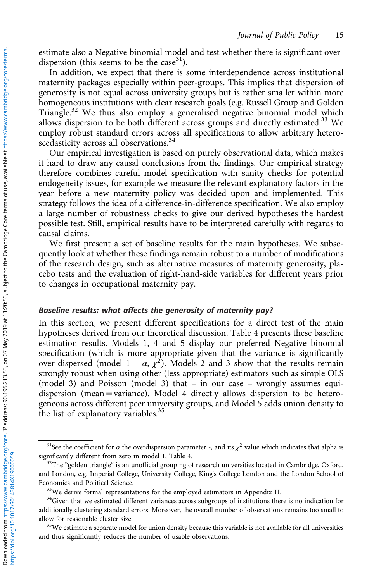estimate also a Negative binomial model and test whether there is significant overdispersion (this seems to be the case<sup>31</sup>).

In addition, we expect that there is some interdependence across institutional maternity packages especially within peer-groups. This implies that dispersion of generosity is not equal across university groups but is rather smaller within more homogeneous institutions with clear research goals (e.g. Russell Group and Golden Triangle.<sup>32</sup> We thus also employ a generalised negative binomial model which allows dispersion to be both different across groups and directly estimated.<sup>33</sup> We employ robust standard errors across all specifications to allow arbitrary heteroscedasticity across all observations.<sup>34</sup>

Our empirical investigation is based on purely observational data, which makes it hard to draw any causal conclusions from the findings. Our empirical strategy therefore combines careful model specification with sanity checks for potential endogeneity issues, for example we measure the relevant explanatory factors in the year before a new maternity policy was decided upon and implemented. This strategy follows the idea of a difference-in-difference specification. We also employ a large number of robustness checks to give our derived hypotheses the hardest possible test. Still, empirical results have to be interpreted carefully with regards to causal claims.

We first present a set of baseline results for the main hypotheses. We subsequently look at whether these findings remain robust to a number of modifications of the research design, such as alternative measures of maternity generosity, placebo tests and the evaluation of right-hand-side variables for different years prior to changes in occupational maternity pay.

#### Baseline results: what affects the generosity of maternity pay?

In this section, we present different specifications for a direct test of the main hypotheses derived from our theoretical discussion. [Table 4](#page-15-0) presents these baseline estimation results. Models 1, 4 and 5 display our preferred Negative binomial specification (which is more appropriate given that the variance is significantly over-dispersed (model 1 –  $\alpha$ ,  $\chi^2$ ). Models 2 and 3 show that the results remain strongly robust when using other (less appropriate) estimators such as simple OLS (model 3) and Poisson (model 3) that – in our case – wrongly assumes equidispersion (mean =variance). Model 4 directly allows dispersion to be heterogeneous across different peer university groups, and Model 5 adds union density to the list of explanatory variables.<sup>35</sup>

<sup>&</sup>lt;sup>31</sup>See the coefficient for  $\alpha$  the overdispersion parameter -, and its  $\chi^2$  value which indicates that alpha is significantly different from zero in model 1, [Table 4](#page-15-0).<br><sup>32</sup>The "golden triangle" is an unofficial grouping of research universities located in Cambridge, Oxford,

and London, e.g. Imperial College, University College, King's College London and the London School of Economics and Political Science.<br><sup>33</sup>We derive formal representations for the employed estimators in Appendix H.

<sup>&</sup>lt;sup>34</sup>Given that we estimated different variances across subgroups of institutions there is no indication for additionally clustering standard errors. Moreover, the overall number of observations remains too small to allow for reasonable cluster size.<br><sup>35</sup>We estimate a separate model for union density because this variable is not available for all universities

and thus significantly reduces the number of usable observations.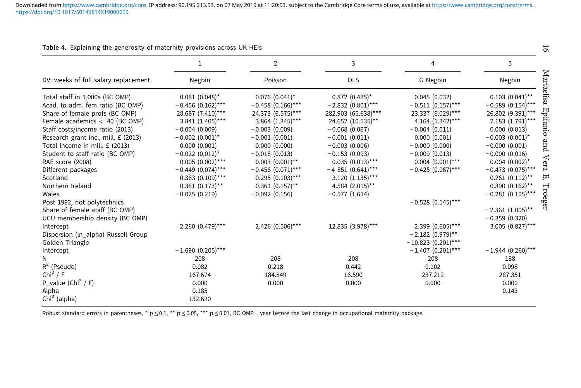|                                      | 1                     | $\overline{2}$        | 3                     | 4                     | 5                    |
|--------------------------------------|-----------------------|-----------------------|-----------------------|-----------------------|----------------------|
| DV: weeks of full salary replacement | Negbin                | Poisson               | OLS                   | G Negbin              | Negbin               |
| Total staff in 1,000s (BC OMP)       | $0.081$ (0.048)*      | $0.076$ $(0.041)^*$   | $0.872$ (0.485)*      | 0.045(0.032)          | $0.103$ $(0.041)$ ** |
| Acad. to adm. fem ratio (BC OMP)     | $-0.456$ (0.162)***   | $-0.458$ (0.166)***   | $-2.832(0.801)***$    | $-0.511(0.157***$     | $-0.589(0.154)$ ***  |
| Share of female profs (BC OMP)       | 28.687 (7.410)***     | 24.373 (6.575)***     | 282.903 (65.638)***   | 23.337 (6.029)***     | 26.802 (9.391)***    |
| Female academics $<$ 40 (BC OMP)     | 3.841 (1.405)***      | 3.864 (1.345)***      | 24.652 (10.535)**     | 4.164 (1.342)***      | 7.183 (1.791)***     |
| Staff costs/income ratio (2013)      | $-0.004(0.009)$       | $-0.003(0.009)$       | $-0.068(0.067)$       | $-0.004(0.011)$       | 0.000(0.013)         |
| Research grant inc., mill. £ (2013)  | $-0.002(0.001)^*$     | $-0.001(0.001)$       | $-0.001(0.011)$       | 0.000(0.001)          | $-0.003(0.001)^*$    |
| Total income in mill. £ (2013)       | 0.000(0.001)          | 0.000(0.000)          | $-0.003(0.006)$       | $-0.000(0.000)$       | $-0.000(0.001)$      |
| Student to staff ratio (BC OMP)      | $-0.022(0.012)^*$     | $-0.018(0.013)$       | $-0.153(0.093)$       | $-0.009(0.013)$       | $-0.000(0.016)$      |
| RAE score (2008)                     | $0.005$ $(0.002)$ *** | $0.003$ $(0.001)$ **  | $0.035$ $(0.013)$ *** | $0.004$ $(0.001)$ *** | $0.004$ $(0.002)^*$  |
| Different packages                   | $-0.449(0.074)$ ***   | $-0.456$ (0.071)***   | $-4851(0.641)***$     | $-0.425(0.067)$ ***   | $-0.473$ (0.075)***  |
| Scotland                             | $0.363$ $(0.109)$ *** | $0.295$ $(0.103)$ *** | $3.120(1.135)***$     |                       | $0.261$ $(0.112)$ ** |
| Northern Ireland                     | $0.381(0.173)$ **     | $0.361(0.157)$ **     | 4.584 (2.015)**       |                       | $0.390(0.162)$ **    |
| Wales                                | $-0.025(0.219)$       | $-0.092(0.156)$       | $-0.577(1.614)$       |                       | $-0.281(0.105)***$   |
| Post 1992, not polytechnics          |                       |                       |                       | $-0.528(0.145)$ ***   |                      |
| Share of female ataff (BC OMP)       |                       |                       |                       |                       | $-2.361(1.005)$ **   |
| UCU membership density (BC OMP)      |                       |                       |                       |                       | $-0.359(0.320)$      |
| Intercept                            | 2.260 (0.479)***      | 2.426 (0.506)***      | 12.835 (3.978)***     | 2.399 (0.605)***      | 3.005 (0.827)***     |
| Dispersion (In_alpha) Russell Group  |                       |                       |                       | $-2.182(0.979)$ **    |                      |
| Golden Triangle                      |                       |                       |                       | $-10.823(0.201)***$   |                      |
| Intercept                            | $-1.690(0.205)***$    |                       |                       | $-1.407$ (0.201)***   | $-1.944$ (0.260)***  |
| N                                    | 208                   | 208                   | 208                   | 208                   | 188                  |
| $R^2$ (Pseudo)                       | 0.082                 | 0.218                 | 0.442                 | 0.102                 | 0.098                |
| Chi <sup>2</sup> / F                 | 167.674               | 184.849               | 16.590                | 237.212               | 287.351              |
| P_value (Chi <sup>2</sup> / F)       | 0.000                 | 0.000                 | 0.000                 | 0.000                 | 0.000                |
| Alpha                                | 0.185                 |                       |                       |                       | 0.143                |
| $Chi2$ (alpha)                       | 132.620               |                       |                       |                       |                      |

#### <span id="page-15-0"></span>Table 4. Explaining the generosity of maternity provisions across UK HEIs

Robust standard errors in parentheses, \*  $p \le 0.1$ , \*\*  $p \le 0.05$ , \*\*\*  $p \le 0.01$ , BC OMP = year before the last change in occupational maternity package.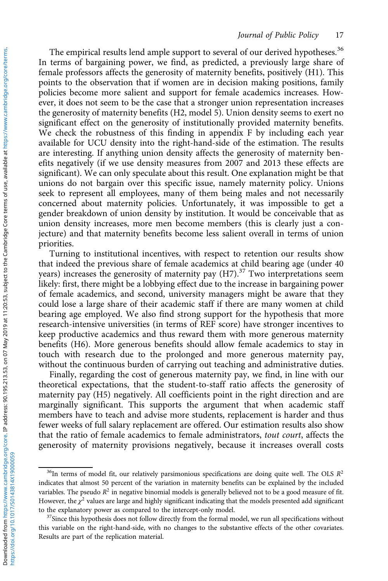The empirical results lend ample support to several of our derived hypotheses.<sup>36</sup> In terms of bargaining power, we find, as predicted, a previously large share of female professors affects the generosity of maternity benefits, positively (H1). This points to the observation that if women are in decision making positions, family policies become more salient and support for female academics increases. However, it does not seem to be the case that a stronger union representation increases the generosity of maternity benefits (H2, model 5). Union density seems to exert no significant effect on the generosity of institutionally provided maternity benefits. We check the robustness of this finding in appendix F by including each year available for UCU density into the right-hand-side of the estimation. The results are interesting. If anything union density affects the generosity of maternity benefits negatively (if we use density measures from 2007 and 2013 these effects are significant). We can only speculate about this result. One explanation might be that unions do not bargain over this specific issue, namely maternity policy. Unions seek to represent all employees, many of them being males and not necessarily concerned about maternity policies. Unfortunately, it was impossible to get a gender breakdown of union density by institution. It would be conceivable that as union density increases, more men become members (this is clearly just a conjecture) and that maternity benefits become less salient overall in terms of union priorities.

Turning to institutional incentives, with respect to retention our results show that indeed the previous share of female academics at child bearing age (under 40 years) increases the generosity of maternity pay  $(H7)$ .<sup>37</sup> Two interpretations seem likely: first, there might be a lobbying effect due to the increase in bargaining power of female academics, and second, university managers might be aware that they could lose a large share of their academic staff if there are many women at child bearing age employed. We also find strong support for the hypothesis that more research-intensive universities (in terms of REF score) have stronger incentives to keep productive academics and thus reward them with more generous maternity benefits (H6). More generous benefits should allow female academics to stay in touch with research due to the prolonged and more generous maternity pay, without the continuous burden of carrying out teaching and administrative duties.

Finally, regarding the cost of generous maternity pay, we find, in line with our theoretical expectations, that the student-to-staff ratio affects the generosity of maternity pay (H5) negatively. All coefficients point in the right direction and are marginally significant. This supports the argument that when academic staff members have to teach and advise more students, replacement is harder and thus fewer weeks of full salary replacement are offered. Our estimation results also show that the ratio of female academics to female administrators, tout court, affects the generosity of maternity provisions negatively, because it increases overall costs

 $36$ In terms of model fit, our relatively parsimonious specifications are doing quite well. The OLS  $R^2$ indicates that almost 50 percent of the variation in maternity benefits can be explained by the included variables. The pseudo  $R^2$  in negative binomial models is generally believed not to be a good measure of fit. However, the  $\chi^2$  values are large and highly significant indicating that the models presented add significant to the explanatory power as compared to the intercept-only model.<br> $37$ Since this hypothesis does not follow directly from the formal model, we run all specifications without

this variable on the right-hand-side, with no changes to the substantive effects of the other covariates. Results are part of the replication material.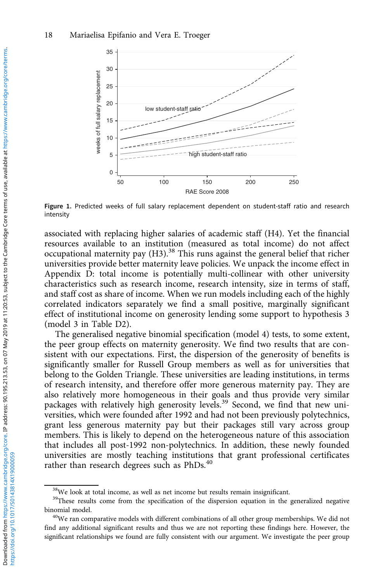<span id="page-17-0"></span>

Figure 1. Predicted weeks of full salary replacement dependent on student-staff ratio and research intensity

associated with replacing higher salaries of academic staff (H4). Yet the financial resources available to an institution (measured as total income) do not affect occupational maternity pay  $(H3)$ .<sup>38</sup> This runs against the general belief that richer universities provide better maternity leave policies. We unpack the income effect in Appendix D: total income is potentially multi-collinear with other university characteristics such as research income, research intensity, size in terms of staff, and staff cost as share of income. When we run models including each of the highly correlated indicators separately we find a small positive, marginally significant effect of institutional income on generosity lending some support to hypothesis 3 (model 3 in Table D2).

The generalised negative binomial specification (model 4) tests, to some extent, the peer group effects on maternity generosity. We find two results that are consistent with our expectations. First, the dispersion of the generosity of benefits is significantly smaller for Russell Group members as well as for universities that belong to the Golden Triangle. These universities are leading institutions, in terms of research intensity, and therefore offer more generous maternity pay. They are also relatively more homogeneous in their goals and thus provide very similar packages with relatively high generosity levels.<sup>39</sup> Second, we find that new universities, which were founded after 1992 and had not been previously polytechnics, grant less generous maternity pay but their packages still vary across group members. This is likely to depend on the heterogeneous nature of this association that includes all post-1992 non-polytechnics. In addition, these newly founded universities are mostly teaching institutions that grant professional certificates rather than research degrees such as PhDs.<sup>40</sup>

 $38$ We look at total income, as well as net income but results remain insignificant.

<sup>&</sup>lt;sup>39</sup>These results come from the specification of the dispersion equation in the generalized negative binomial model.<br><sup>40</sup>We ran comparative models with different combinations of all other group memberships. We did not

find any additional significant results and thus we are not reporting these findings here. However, the significant relationships we found are fully consistent with our argument. We investigate the peer group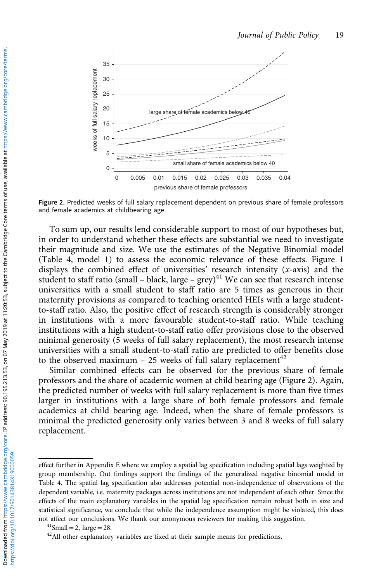

Figure 2. Predicted weeks of full salary replacement dependent on previous share of female professors and female academics at childbearing age

To sum up, our results lend considerable support to most of our hypotheses but, in order to understand whether these effects are substantial we need to investigate their magnitude and size. We use the estimates of the Negative Binomial model [\(Table 4,](#page-15-0) model 1) to assess the economic relevance of these effects. [Figure 1](#page-17-0) displays the combined effect of universities' research intensity  $(x\text{-axis})$  and the student to staff ratio (small – black, large – grey) $41$  We can see that research intense universities with a small student to staff ratio are 5 times as generous in their maternity provisions as compared to teaching oriented HEIs with a large studentto-staff ratio. Also, the positive effect of research strength is considerably stronger in institutions with a more favourable student-to-staff ratio. While teaching institutions with a high student-to-staff ratio offer provisions close to the observed minimal generosity (5 weeks of full salary replacement), the most research intense universities with a small student-to-staff ratio are predicted to offer benefits close to the observed maximum - 25 weeks of full salary replacement<sup>42</sup>

Similar combined effects can be observed for the previous share of female professors and the share of academic women at child bearing age (Figure 2). Again, the predicted number of weeks with full salary replacement is more than five times larger in institutions with a large share of both female professors and female academics at child bearing age. Indeed, when the share of female professors is minimal the predicted generosity only varies between 3 and 8 weeks of full salary replacement.

effect further in Appendix E where we employ a spatial lag specification including spatial lags weighted by group membership. Out findings support the findings of the generalized negative binomial model in [Table 4.](#page-15-0) The spatial lag specification also addresses potential non-independence of observations of the dependent variable, i.e. maternity packages across institutions are not independent of each other. Since the effects of the main explanatory variables in the spatial lag specification remain robust both in size and statistical significance, we conclude that while the independence assumption might be violated, this does not affect our conclusions. We thank our anonymous reviewers for making this suggestion.  $\frac{^{41}Small = 2$ , large = 28.  $\frac{^{42}All}$  other explanatory variables are fixed at their sample means for predictions.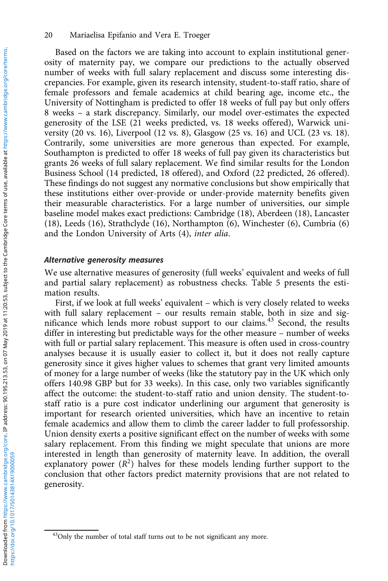Based on the factors we are taking into account to explain institutional generosity of maternity pay, we compare our predictions to the actually observed number of weeks with full salary replacement and discuss some interesting discrepancies. For example, given its research intensity, student-to-staff ratio, share of female professors and female academics at child bearing age, income etc., the University of Nottingham is predicted to offer 18 weeks of full pay but only offers 8 weeks – a stark discrepancy. Similarly, our model over-estimates the expected generosity of the LSE (21 weeks predicted, vs. 18 weeks offered), Warwick university (20 vs. 16), Liverpool (12 vs. 8), Glasgow (25 vs. 16) and UCL (23 vs. 18). Contrarily, some universities are more generous than expected. For example, Southampton is predicted to offer 18 weeks of full pay given its characteristics but grants 26 weeks of full salary replacement. We find similar results for the London Business School (14 predicted, 18 offered), and Oxford (22 predicted, 26 offered). These findings do not suggest any normative conclusions but show empirically that these institutions either over-provide or under-provide maternity benefits given their measurable characteristics. For a large number of universities, our simple baseline model makes exact predictions: Cambridge (18), Aberdeen (18), Lancaster (18), Leeds (16), Strathclyde (16), Northampton (6), Winchester (6), Cumbria (6) and the London University of Arts (4), inter alia.

#### Alternative generosity measures

We use alternative measures of generosity (full weeks' equivalent and weeks of full and partial salary replacement) as robustness checks. [Table 5](#page-20-0) presents the estimation results.

First, if we look at full weeks' equivalent – which is very closely related to weeks with full salary replacement – our results remain stable, both in size and significance which lends more robust support to our claims.<sup>43</sup> Second, the results differ in interesting but predictable ways for the other measure – number of weeks with full or partial salary replacement. This measure is often used in cross-country analyses because it is usually easier to collect it, but it does not really capture generosity since it gives higher values to schemes that grant very limited amounts of money for a large number of weeks (like the statutory pay in the UK which only offers 140.98 GBP but for 33 weeks). In this case, only two variables significantly affect the outcome: the student-to-staff ratio and union density. The student-tostaff ratio is a pure cost indicator underlining our argument that generosity is important for research oriented universities, which have an incentive to retain female academics and allow them to climb the career ladder to full professorship. Union density exerts a positive significant effect on the number of weeks with some salary replacement. From this finding we might speculate that unions are more interested in length than generosity of maternity leave. In addition, the overall explanatory power  $(R^2)$  halves for these models lending further support to the conclusion that other factors predict maternity provisions that are not related to generosity.

<sup>&</sup>lt;sup>43</sup>Only the number of total staff turns out to be not significant any more.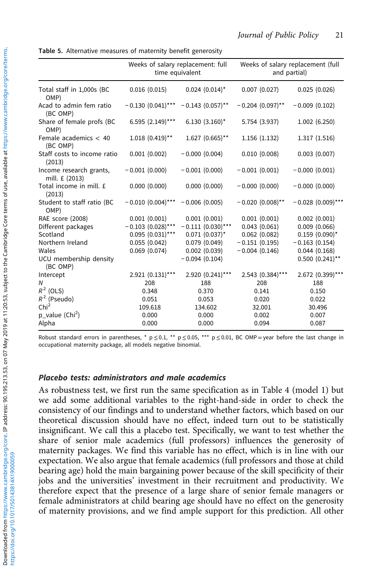<span id="page-20-0"></span>Table 5. Alternative measures of maternity benefit generosity

|                                           | Weeks of salary replacement: full<br>time equivalent |                     | Weeks of salary replacement (full<br>and partial) |                      |  |
|-------------------------------------------|------------------------------------------------------|---------------------|---------------------------------------------------|----------------------|--|
| Total staff in 1,000s (BC<br>OMP)         | 0.016(0.015)                                         | $0.024$ $(0.014)^*$ | 0.007(0.027)                                      | 0.025(0.026)         |  |
| Acad to admin fem ratio<br>(BC OMP)       | $-0.130(0.041)$ ***                                  | $-0.143(0.057)$ **  | $-0.204(0.097)$ **                                | $-0.009(0.102)$      |  |
| Share of female profs (BC<br>OMP)         | 6.595 (2.149)***                                     | $6.130(3.160)^*$    | 5.754 (3.937)                                     | 1.002(6.250)         |  |
| Female academics $< 40$<br>(BC OMP)       | $1.018$ $(0.419)$ **                                 | $1.627$ (0.665)**   | 1.156(1.132)                                      | 1.317(1.516)         |  |
| Staff costs to income ratio<br>(2013)     | 0.001(0.002)                                         | $-0.000(0.004)$     | 0.010(0.008)                                      | 0.003(0.007)         |  |
| Income research grants,<br>mill. £ (2013) | $-0.001(0.000)$                                      | $-0.001(0.000)$     | $-0.001(0.001)$                                   | $-0.000(0.001)$      |  |
| Total income in mill. £<br>(2013)         | 0.000(0.000)                                         | 0.000(0.000)        | $-0.000(0.000)$                                   | $-0.000(0.000)$      |  |
| Student to staff ratio (BC<br>OMP)        | $-0.010(0.004)$ ***                                  | $-0.006(0.005)$     | $-0.020(0.008)$ **                                | $-0.028(0.009)***$   |  |
| RAE score (2008)                          | 0.001(0.001)                                         | 0.001(0.001)        | 0.001(0.001)                                      | 0.002(0.001)         |  |
| Different packages                        | $-0.103$ (0.028)***                                  | $-0.111(0.030)$ *** | 0.043(0.061)                                      | $0.009$ $(0.066)$    |  |
| Scotland                                  | $0.095$ $(0.031)$ ***                                | $0.071$ $(0.037)^*$ | 0.062(0.082)                                      | $0.159$ (0.090)*     |  |
| Northern Ireland                          | 0.055(0.042)                                         | 0.079(0.049)        | $-0.151(0.195)$                                   | $-0.163(0.154)$      |  |
| Wales                                     | 0.069(0.074)                                         | 0.002(0.039)        | $-0.004(0.146)$                                   | 0.044(0.168)         |  |
| UCU membership density<br>(BC OMP)        |                                                      | $-0.094(0.104)$     |                                                   | $0.500$ $(0.241)$ ** |  |
| Intercept                                 | $2.921 (0.131)***$                                   | 2.920 (0.241)***    | 2.543 (0.384)***                                  | 2.672 (0.399)***     |  |
| Ν                                         | 208                                                  | 188                 | 208                                               | 188                  |  |
| $R^2$ (OLS)                               | 0.348                                                | 0.370               | 0.141                                             | 0.150                |  |
| $R^2$ (Pseudo)                            | 0.051                                                | 0.053               | 0.020                                             | 0.022                |  |
| Chi <sup>2</sup>                          | 109.618                                              | 134.602             | 32.001                                            | 30.496               |  |
| p value (Chi <sup>2</sup> )               | 0.000                                                | 0.000               | 0.002                                             | 0.007                |  |
| Alpha                                     | 0.000                                                | 0.000               | 0.094                                             | 0.087                |  |

Robust standard errors in parentheses, \*  $p \le 0.1$ , \*\*  $p \le 0.05$ , \*\*\*  $p \le 0.01$ , BC OMP = year before the last change in occupational maternity package, all models negative binomial.

#### Placebo tests: administrators and male academics

As robustness test, we first run the same specification as in [Table 4](#page-15-0) (model 1) but we add some additional variables to the right-hand-side in order to check the consistency of our findings and to understand whether factors, which based on our theoretical discussion should have no effect, indeed turn out to be statistically insignificant. We call this a placebo test. Specifically, we want to test whether the share of senior male academics (full professors) influences the generosity of maternity packages. We find this variable has no effect, which is in line with our expectation. We also argue that female academics (full professors and those at child bearing age) hold the main bargaining power because of the skill specificity of their jobs and the universities' investment in their recruitment and productivity. We therefore expect that the presence of a large share of senior female managers or female administrators at child bearing age should have no effect on the generosity of maternity provisions, and we find ample support for this prediction. All other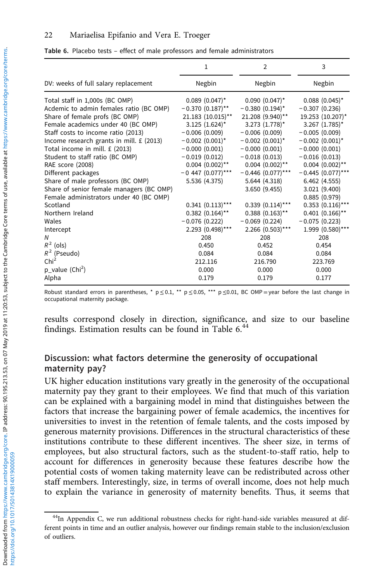Table 6. Placebo tests – effect of male professors and female administrators

|                                          | 1                    | 2                     | 3                     |
|------------------------------------------|----------------------|-----------------------|-----------------------|
| DV: weeks of full salary replacement     | Negbin               | Negbin                | Negbin                |
| Total staff in 1,000s (BC OMP)           | $0.089$ (0.047)*     | $0.090$ $(0.047)^*$   | $0.088(0.045)^*$      |
| Acdemic to admin females ratio (BC OMP)  | $-0.370(0.187)$ **   | $-0.380(0.194)^{*}$   | $-0.307(0.236)$       |
| Share of female profs (BC OMP)           | 21.183 (10.015)**    | 21.208 (9.940)**      | 19.253 (10.207)*      |
| Female academics under 40 (BC OMP)       | $3.125$ $(1.624)^*$  | $3.273$ $(1.778)^*$   | $3.267$ (1.785)*      |
| Staff costs to income ratio (2013)       | $-0.006(0.009)$      | $-0.006(0.009)$       | $-0.005(0.009)$       |
| Income research grants in mill. £ (2013) | $-0.002(0.001)^{*}$  | $-0.002$ (0.001)*     | $-0.002(0.001)^*$     |
| Total income in mill. £ (2013)           | $-0.000(0.001)$      | $-0.000(0.001)$       | $-0.000(0.001)$       |
| Student to staff ratio (BC OMP)          | $-0.019(0.012)$      | $-0.018(0.013)$       | $-0.016(0.013)$       |
| RAE score (2008)                         | $0.004$ $(0.002)$ ** | $0.004$ $(0.002)$ **  | $0.004$ $(0.002)$ **  |
| Different packages                       | $-0.447$ (0.077)***  | $-0.446$ (0.077)***   | $-0.445(0.077***$     |
| Share of male professors (BC OMP)        | 5.536 (4.375)        | 5.644 (4.318)         | 6.462(4.555)          |
| Share of senior female managers (BC OMP) |                      | 3.650(9.455)          | 3.021 (9.400)         |
| Female administrators under 40 (BC OMP)  |                      |                       | 0.885(0.979)          |
| Scotland                                 | $0.341(0.113)$ ***   | $0.339$ $(0.114)$ *** | $0.353$ $(0.116)$ *** |
| Northern Ireland                         | $0.382$ $(0.164)$ ** | $0.388(0.163)$ **     | $0.401(0.166)$ **     |
| Wales                                    | $-0.076(0.222)$      | $-0.069(0.224)$       | $-0.075(0.223)$       |
| Intercept                                | 2.293 (0.498)***     | $2.266$ (0.503)***    | 1.999 (0.580)***      |
| N                                        | 208                  | 208                   | 208                   |
| $R^2$ (ols)                              | 0.450                | 0.452                 | 0.454                 |
| $R^2$ (Pseudo)                           | 0.084                | 0.084                 | 0.084                 |
| Chi <sup>2</sup>                         | 212.116              | 216.790               | 223.769               |
| $p_value (Chi2)$                         | 0.000                | 0.000                 | 0.000                 |
| Alpha                                    | 0.179                | 0.179                 | 0.177                 |
|                                          |                      |                       |                       |

Robust standard errors in parentheses, \*  $p \le 0.1$ , \*\*  $p \le 0.05$ , \*\*\*  $p \le 0.01$ , BC OMP = year before the last change in occupational maternity package.

results correspond closely in direction, significance, and size to our baseline findings. Estimation results can be found in Table 6.<sup>44</sup>

# Discussion: what factors determine the generosity of occupational maternity pay?

UK higher education institutions vary greatly in the generosity of the occupational maternity pay they grant to their employees. We find that much of this variation can be explained with a bargaining model in mind that distinguishes between the factors that increase the bargaining power of female academics, the incentives for universities to invest in the retention of female talents, and the costs imposed by generous maternity provisions. Differences in the structural characteristics of these institutions contribute to these different incentives. The sheer size, in terms of employees, but also structural factors, such as the student-to-staff ratio, help to account for differences in generosity because these features describe how the potential costs of women taking maternity leave can be redistributed across other staff members. Interestingly, size, in terms of overall income, does not help much to explain the variance in generosity of maternity benefits. Thus, it seems that

<sup>&</sup>lt;sup>44</sup>In Appendix C, we run additional robustness checks for right-hand-side variables measured at different points in time and an outlier analysis, however our findings remain stable to the inclusion/exclusion of outliers.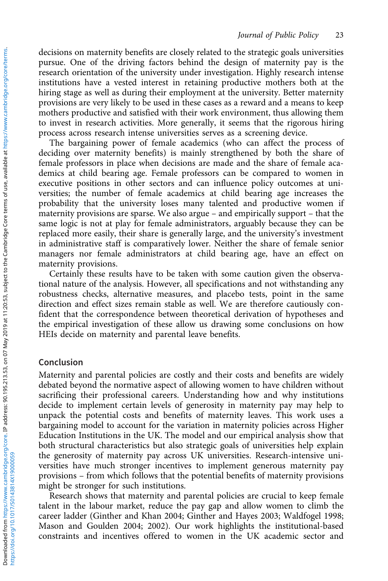decisions on maternity benefits are closely related to the strategic goals universities pursue. One of the driving factors behind the design of maternity pay is the research orientation of the university under investigation. Highly research intense institutions have a vested interest in retaining productive mothers both at the hiring stage as well as during their employment at the university. Better maternity provisions are very likely to be used in these cases as a reward and a means to keep mothers productive and satisfied with their work environment, thus allowing them to invest in research activities. More generally, it seems that the rigorous hiring process across research intense universities serves as a screening device.

The bargaining power of female academics (who can affect the process of deciding over maternity benefits) is mainly strengthened by both the share of female professors in place when decisions are made and the share of female academics at child bearing age. Female professors can be compared to women in executive positions in other sectors and can influence policy outcomes at universities; the number of female academics at child bearing age increases the probability that the university loses many talented and productive women if maternity provisions are sparse. We also argue – and empirically support – that the same logic is not at play for female administrators, arguably because they can be replaced more easily, their share is generally large, and the university's investment in administrative staff is comparatively lower. Neither the share of female senior managers nor female administrators at child bearing age, have an effect on maternity provisions.

Certainly these results have to be taken with some caution given the observational nature of the analysis. However, all specifications and not withstanding any robustness checks, alternative measures, and placebo tests, point in the same direction and effect sizes remain stable as well. We are therefore cautiously confident that the correspondence between theoretical derivation of hypotheses and the empirical investigation of these allow us drawing some conclusions on how HEIs decide on maternity and parental leave benefits.

### Conclusion

Maternity and parental policies are costly and their costs and benefits are widely debated beyond the normative aspect of allowing women to have children without sacrificing their professional careers. Understanding how and why institutions decide to implement certain levels of generosity in maternity pay may help to unpack the potential costs and benefits of maternity leaves. This work uses a bargaining model to account for the variation in maternity policies across Higher Education Institutions in the UK. The model and our empirical analysis show that both structural characteristics but also strategic goals of universities help explain the generosity of maternity pay across UK universities. Research-intensive universities have much stronger incentives to implement generous maternity pay provisions – from which follows that the potential benefits of maternity provisions might be stronger for such institutions.

Research shows that maternity and parental policies are crucial to keep female talent in the labour market, reduce the pay gap and allow women to climb the career ladder (Ginther and Khan [2004](#page-24-0); Ginther and Hayes [2003](#page-24-0); Waldfogel [1998](#page-25-0); Mason and Goulden [2004](#page-25-0); [2002](#page-24-0)). Our work highlights the institutional-based constraints and incentives offered to women in the UK academic sector and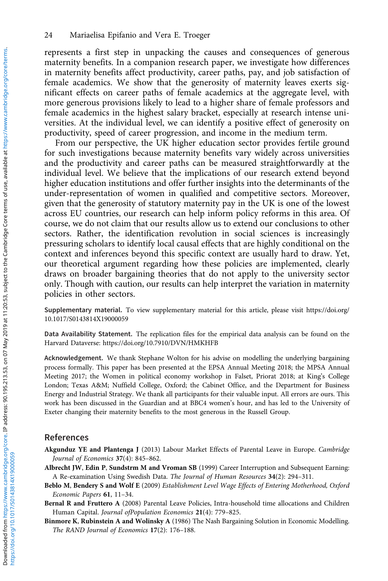<span id="page-23-0"></span>represents a first step in unpacking the causes and consequences of generous maternity benefits. In a companion research paper, we investigate how differences in maternity benefits affect productivity, career paths, pay, and job satisfaction of female academics. We show that the generosity of maternity leaves exerts significant effects on career paths of female academics at the aggregate level, with more generous provisions likely to lead to a higher share of female professors and female academics in the highest salary bracket, especially at research intense universities. At the individual level, we can identify a positive effect of generosity on productivity, speed of career progression, and income in the medium term.

From our perspective, the UK higher education sector provides fertile ground for such investigations because maternity benefits vary widely across universities and the productivity and career paths can be measured straightforwardly at the individual level. We believe that the implications of our research extend beyond higher education institutions and offer further insights into the determinants of the under-representation of women in qualified and competitive sectors. Moreover, given that the generosity of statutory maternity pay in the UK is one of the lowest across EU countries, our research can help inform policy reforms in this area. Of course, we do not claim that our results allow us to extend our conclusions to other sectors. Rather, the identification revolution in social sciences is increasingly pressuring scholars to identify local causal effects that are highly conditional on the context and inferences beyond this specific context are usually hard to draw. Yet, our theoretical argument regarding how these policies are implemented, clearly draws on broader bargaining theories that do not apply to the university sector only. Though with caution, our results can help interpret the variation in maternity policies in other sectors.

Supplementary material. To view supplementary material for this article, please visit https://doi.org/ 10.1017/S0143814X19000059

Data Availability Statement. The replication files for the empirical data analysis can be found on the Harvard Dataverse:<https://doi.org/10.7910/DVN/HMKHFB>

Acknowledgement. We thank Stephane Wolton for his advise on modelling the underlying bargaining process formally. This paper has been presented at the EPSA Annual Meeting 2018; the MPSA Annual Meeting 2017; the Women in political economy workshop in Falset, Priorat 2018; at King's College London; Texas A&M; Nuffield College, Oxford; the Cabinet Office, and the Department for Business Energy and Industrial Strategy. We thank all participants for their valuable input. All errors are ours. This work has been discussed in the Guardian and at BBC4 women's hour, and has led to the University of Exeter changing their maternity benefits to the most generous in the Russell Group.

#### References

- Akgunduz YE and Plantenga J (2013) Labour Market Effects of Parental Leave in Europe. Cambridge Journal of Economics 37(4): 845–862.
- Albrecht JW, Edin P, Sundstrm M and Vroman SB (1999) Career Interruption and Subsequent Earning: A Re-examination Using Swedish Data. The Journal of Human Resources 34(2): 294–311.
- Beblo M, Bendery S and Wolf E (2009) Establishment Level Wage Effects of Entering Motherhood, Oxford Economic Papers 61, 11–34.
- Bernal R and Fruttero A (2008) Parental Leave Policies, Intra-household time allocations and Children Human Capital. Journal ofPopulation Economics 21(4): 779–825.
- Binmore K, Rubinstein A and Wolinsky A (1986) The Nash Bargaining Solution in Economic Modelling. The RAND Journal of Economics 17(2): 176–188.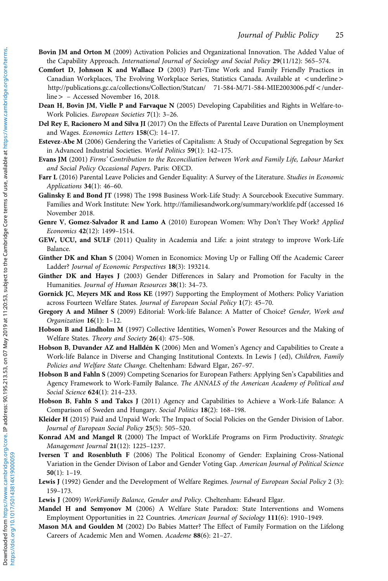- <span id="page-24-0"></span>Bovin JM and Orton M (2009) Activation Policies and Organizational Innovation. The Added Value of the Capability Approach. International Journal of Sociology and Social Policy 29(11/12): 565-574.
- Comfort D, Johnson K and Wallace D (2003) Part-Time Work and Family Friendly Practices in Canadian Workplaces, The Evolving Workplace Series, Statistics Canada. Available at <[underline](�<�underline�>�http://publications.gc.�ca/collections/Collection/Statcan/ 71-584-M/71-584-MIE2003006.pdf�<�/underline�>�)> [http://publications.gc.ca/collections/Collection/Statcan/ 71-584-M/71-584-MIE2003006.pdf](�<�underline�>�http://publications.gc.�ca/collections/Collection/Statcan/ 71-584-M/71-584-MIE2003006.pdf�<�/underline�>�)< /under[line](�<�underline�>�http://publications.gc.�ca/collections/Collection/Statcan/ 71-584-M/71-584-MIE2003006.pdf�<�/underline�>�)> – Accessed November 16, 2018.
- Dean H, Bovin JM, Vielle P and Farvaque N (2005) Developing Capabilities and Rights in Welfare-to-Work Policies. European Societies 7(1): 3–26.
- Del Rey E, Racionero M and Silva JI (2017) On the Effects of Parental Leave Duration on Unemployment and Wages. Economics Letters 158(C): 14–17.
- Estevez-Abe M (2006) Gendering the Varieties of Capitalism: A Study of Occupational Segregation by Sex in Advanced Industrial Societies. World Politics 59(1): 142–175.
- Evans JM (2001) Firms' Contribution to the Reconciliation between Work and Family Life, Labour Market and Social Policy Occasional Papers. Paris: OECD.
- Farr L (2016) Parental Leave Policies and Gender Equality: A Survey of the Literature. Studies in Economic Applications 34(1): 46–60.
- Galinsky E and Bond JT (1998) The 1998 Business Work-Life Study: A Sourcebook Executive Summary. Families and Work Institute: New York.<http://familiesandwork.org/summary/worklife.pdf> (accessed 16 November 2018.
- Genre V, Gomez-Salvador R and Lamo A (2010) European Women: Why Don't They Work? Applied Economics 42(12): 1499–1514.
- GEW, UCU, and SULF (2011) Quality in Academia and Life: a joint strategy to improve Work-Life Balance.
- Ginther DK and Khan S (2004) Women in Economics: Moving Up or Falling Off the Academic Career Ladder? Journal of Economic Perspectives 18(3): 193214.
- Ginther DK and Hayes J (2003) Gender Differences in Salary and Promotion for Faculty in the Humanities. Journal of Human Resources 38(1): 34–73.
- Gornick JC, Meyers MK and Ross KE (1997) Supporting the Employment of Mothers: Policy Variation across Fourteen Welfare States. Journal of European Social Policy 1(7): 45–70.
- Gregory A and Milner S (2009) Editorial: Work-life Balance: A Matter of Choice? Gender, Work and Organization 16(1): 1–12.
- Hobson B and Lindholm M (1997) Collective Identities, Women's Power Resources and the Making of Welfare States. Theory and Society 26(4): 475-508.
- Hobson B, Duvander AZ and Halldén K (2006) Men and Women's Agency and Capabilities to Create a Work-life Balance in Diverse and Changing Institutional Contexts. In Lewis J (ed), Children, Family Policies and Welfare State Change. Cheltenham: Edward Elgar, 267–97.
- Hobson B and Fahln S (2009) Competing Scenarios for European Fathers: Applying Sen's Capabilities and Agency Framework to Work-Family Balance. The ANNALS of the American Academy of Political and Social Science 624(1): 214–233.
- Hobson B, Fahln S and Takcs J (2011) Agency and Capabilities to Achieve a Work-Life Balance: A Comparison of Sweden and Hungary. Social Politics 18(2): 168–198.
- Kleider H (2015) Paid and Unpaid Work: The Impact of Social Policies on the Gender Division of Labor. Journal of European Social Policy 25(5): 505–520.
- Konrad AM and Mangel R (2000) The Impact of WorkLife Programs on Firm Productivity. Strategic Management Journal 21(12): 1225–1237.
- Iversen T and Rosenbluth F (2006) The Political Economy of Gender: Explaining Cross-National Variation in the Gender Divison of Labor and Gender Voting Gap. American Journal of Political Science  $50(1): 1-19.$
- Lewis J (1992) Gender and the Development of Welfare Regimes. Journal of European Social Policy 2 (3): 159–173.
- Lewis J (2009) WorkFamily Balance, Gender and Policy. Cheltenham: Edward Elgar.
- Mandel H and Semyonov M (2006) A Welfare State Paradox: State Interventions and Womens Employment Opportunities in 22 Countries. American Journal of Sociology 111(6): 1910–1949.
- Mason MA and Goulden M (2002) Do Babies Matter? The Effect of Family Formation on the Lifelong Careers of Academic Men and Women. Academe 88(6): 21–27.